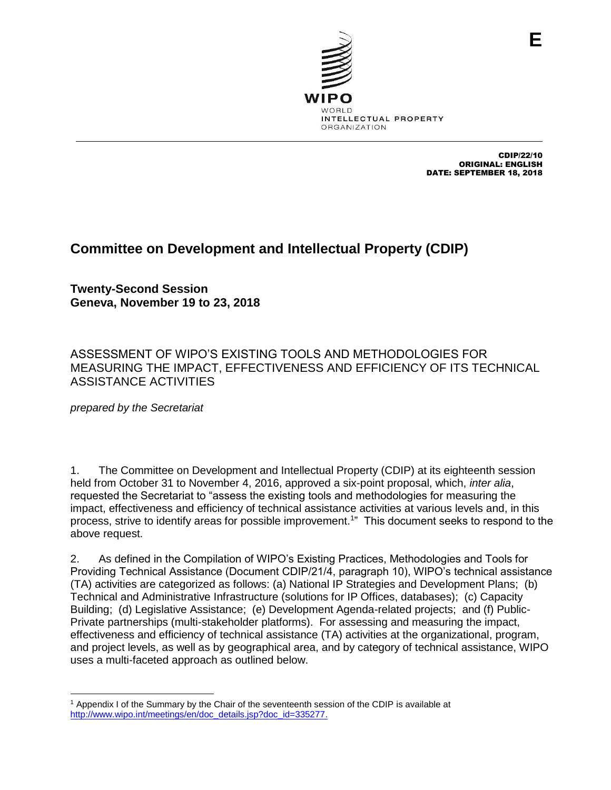

CDIP/22/10 ORIGINAL: ENGLISH DATE: SEPTEMBER 18, 2018

## **Committee on Development and Intellectual Property (CDIP)**

**Twenty-Second Session Geneva, November 19 to 23, 2018**

ASSESSMENT OF WIPO'S EXISTING TOOLS AND METHODOLOGIES FOR MEASURING THE IMPACT, EFFECTIVENESS AND EFFICIENCY OF ITS TECHNICAL ASSISTANCE ACTIVITIES

*prepared by the Secretariat*

1. The Committee on Development and Intellectual Property (CDIP) at its eighteenth session held from October 31 to November 4, 2016, approved a six-point proposal, which, *inter alia*, requested the Secretariat to "assess the existing tools and methodologies for measuring the impact, effectiveness and efficiency of technical assistance activities at various levels and, in this process, strive to identify areas for possible improvement.<sup>1</sup>" This document seeks to respond to the above request.

2. As defined in the Compilation of WIPO's Existing Practices, Methodologies and Tools for Providing Technical Assistance (Document CDIP/21/4, paragraph 10), WIPO's technical assistance (TA) activities are categorized as follows: (a) National IP Strategies and Development Plans; (b) Technical and Administrative Infrastructure (solutions for IP Offices, databases); (c) Capacity Building; (d) Legislative Assistance; (e) Development Agenda-related projects; and (f) Public-Private partnerships (multi-stakeholder platforms). For assessing and measuring the impact, effectiveness and efficiency of technical assistance (TA) activities at the organizational, program, and project levels, as well as by geographical area, and by category of technical assistance, WIPO uses a multi-faceted approach as outlined below.

 <sup>1</sup> Appendix I of the Summary by the Chair of the seventeenth session of the CDIP is available at [http://www.wipo.int/meetings/en/doc\\_details.jsp?doc\\_id=335277.](http://www.wipo.int/meetings/en/doc_details.jsp?doc_id=335277)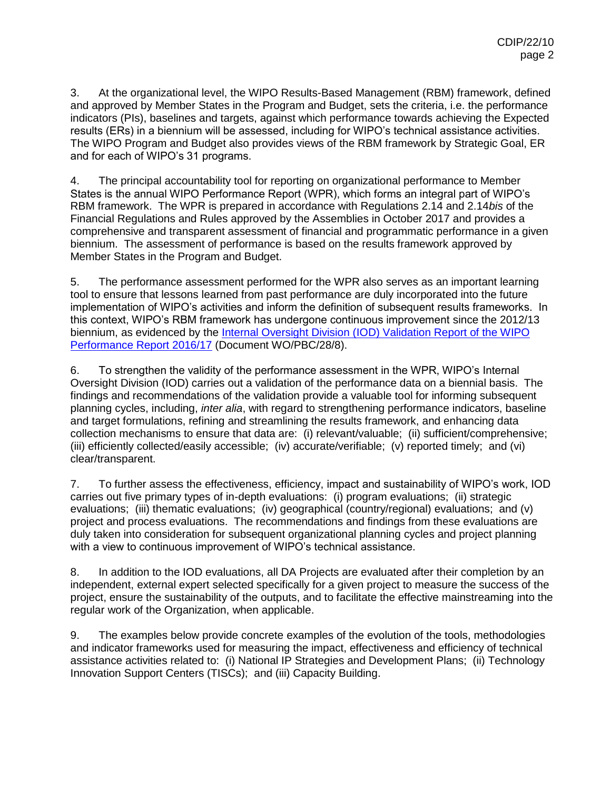3. At the organizational level, the WIPO Results-Based Management (RBM) framework, defined and approved by Member States in the Program and Budget, sets the criteria, i.e. the performance indicators (PIs), baselines and targets, against which performance towards achieving the Expected results (ERs) in a biennium will be assessed, including for WIPO's technical assistance activities. The WIPO Program and Budget also provides views of the RBM framework by Strategic Goal, ER and for each of WIPO's 31 programs.

4. The principal accountability tool for reporting on organizational performance to Member States is the annual WIPO Performance Report (WPR), which forms an integral part of WIPO's RBM framework. The WPR is prepared in accordance with Regulations 2.14 and 2.14*bis* of the Financial Regulations and Rules approved by the Assemblies in October 2017 and provides a comprehensive and transparent assessment of financial and programmatic performance in a given biennium. The assessment of performance is based on the results framework approved by Member States in the Program and Budget.

5. The performance assessment performed for the WPR also serves as an important learning tool to ensure that lessons learned from past performance are duly incorporated into the future implementation of WIPO's activities and inform the definition of subsequent results frameworks. In this context, WIPO's RBM framework has undergone continuous improvement since the 2012/13 biennium, as evidenced by the [Internal Oversight Division \(IOD\) Validation Report of the WIPO](http://www.wipo.int/meetings/en/doc_details.jsp?doc_id=410994)  [Performance Report 2016/17](http://www.wipo.int/meetings/en/doc_details.jsp?doc_id=410994) (Document WO/PBC/28/8).

6. To strengthen the validity of the performance assessment in the WPR, WIPO's Internal Oversight Division (IOD) carries out a validation of the performance data on a biennial basis. The findings and recommendations of the validation provide a valuable tool for informing subsequent planning cycles, including, *inter alia*, with regard to strengthening performance indicators, baseline and target formulations, refining and streamlining the results framework, and enhancing data collection mechanisms to ensure that data are: (i) relevant/valuable; (ii) sufficient/comprehensive; (iii) efficiently collected/easily accessible; (iv) accurate/verifiable; (v) reported timely; and (vi) clear/transparent.

7. To further assess the effectiveness, efficiency, impact and sustainability of WIPO's work, IOD carries out five primary types of in-depth evaluations: (i) program evaluations; (ii) strategic evaluations; (iii) thematic evaluations; (iv) geographical (country/regional) evaluations; and (v) project and process evaluations. The recommendations and findings from these evaluations are duly taken into consideration for subsequent organizational planning cycles and project planning with a view to continuous improvement of WIPO's technical assistance.

8. In addition to the IOD evaluations, all DA Projects are evaluated after their completion by an independent, external expert selected specifically for a given project to measure the success of the project, ensure the sustainability of the outputs, and to facilitate the effective mainstreaming into the regular work of the Organization, when applicable.

9. The examples below provide concrete examples of the evolution of the tools, methodologies and indicator frameworks used for measuring the impact, effectiveness and efficiency of technical assistance activities related to: (i) National IP Strategies and Development Plans; (ii) Technology Innovation Support Centers (TISCs); and (iii) Capacity Building.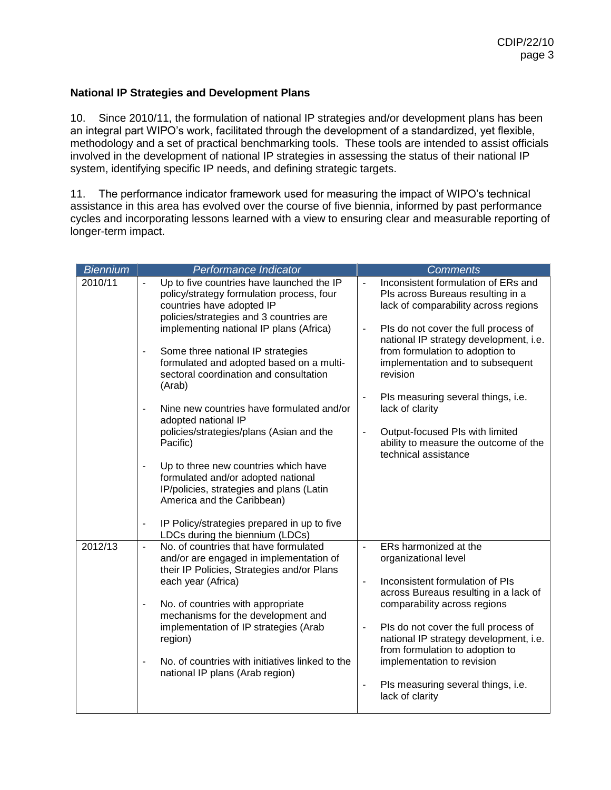## **National IP Strategies and Development Plans**

10. Since 2010/11, the formulation of national IP strategies and/or development plans has been an integral part WIPO's work, facilitated through the development of a standardized, yet flexible, methodology and a set of practical benchmarking tools. These tools are intended to assist officials involved in the development of national IP strategies in assessing the status of their national IP system, identifying specific IP needs, and defining strategic targets.

11. The performance indicator framework used for measuring the impact of WIPO's technical assistance in this area has evolved over the course of five biennia, informed by past performance cycles and incorporating lessons learned with a view to ensuring clear and measurable reporting of longer-term impact.

| <b>Biennium</b> | Performance Indicator                                                                                                                                                                                                                                                                                                                                                                                                                                                                                                                                                                                                                                                                                                                            | <b>Comments</b>                                                                                                                                                                                                                                                                                                                                                                                                                                                                                                                                        |  |  |
|-----------------|--------------------------------------------------------------------------------------------------------------------------------------------------------------------------------------------------------------------------------------------------------------------------------------------------------------------------------------------------------------------------------------------------------------------------------------------------------------------------------------------------------------------------------------------------------------------------------------------------------------------------------------------------------------------------------------------------------------------------------------------------|--------------------------------------------------------------------------------------------------------------------------------------------------------------------------------------------------------------------------------------------------------------------------------------------------------------------------------------------------------------------------------------------------------------------------------------------------------------------------------------------------------------------------------------------------------|--|--|
| 2010/11         | Up to five countries have launched the IP<br>policy/strategy formulation process, four<br>countries have adopted IP<br>policies/strategies and 3 countries are<br>implementing national IP plans (Africa)<br>Some three national IP strategies<br>formulated and adopted based on a multi-<br>sectoral coordination and consultation<br>(Arab)<br>Nine new countries have formulated and/or<br>$\overline{\phantom{a}}$<br>adopted national IP<br>policies/strategies/plans (Asian and the<br>Pacific)<br>Up to three new countries which have<br>formulated and/or adopted national<br>IP/policies, strategies and plans (Latin<br>America and the Caribbean)<br>IP Policy/strategies prepared in up to five<br>LDCs during the biennium (LDCs) | Inconsistent formulation of ERs and<br>$\blacksquare$<br>PIs across Bureaus resulting in a<br>lack of comparability across regions<br>Pls do not cover the full process of<br>$\qquad \qquad \blacksquare$<br>national IP strategy development, i.e.<br>from formulation to adoption to<br>implementation and to subsequent<br>revision<br>Pls measuring several things, i.e.<br>$\blacksquare$<br>lack of clarity<br>Output-focused PIs with limited<br>$\qquad \qquad \blacksquare$<br>ability to measure the outcome of the<br>technical assistance |  |  |
| 2012/13         | No. of countries that have formulated<br>$\overline{\phantom{a}}$<br>and/or are engaged in implementation of<br>their IP Policies, Strategies and/or Plans<br>each year (Africa)<br>No. of countries with appropriate<br>$\overline{a}$<br>mechanisms for the development and<br>implementation of IP strategies (Arab<br>region)<br>No. of countries with initiatives linked to the<br>$\blacksquare$<br>national IP plans (Arab region)                                                                                                                                                                                                                                                                                                        | ERs harmonized at the<br>$\overline{\phantom{0}}$<br>organizational level<br>Inconsistent formulation of PIs<br>$\overline{\phantom{0}}$<br>across Bureaus resulting in a lack of<br>comparability across regions<br>Pls do not cover the full process of<br>$\qquad \qquad \blacksquare$<br>national IP strategy development, i.e.<br>from formulation to adoption to<br>implementation to revision<br>Pls measuring several things, i.e.<br>$\blacksquare$<br>lack of clarity                                                                        |  |  |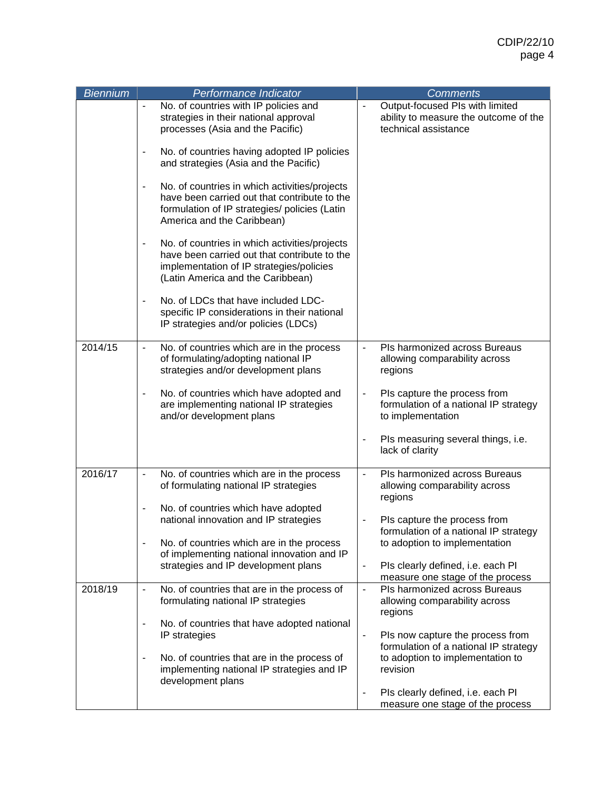| <b>Biennium</b> | Performance Indicator                                                                                                                                                          | <b>Comments</b>                                                                                                    |
|-----------------|--------------------------------------------------------------------------------------------------------------------------------------------------------------------------------|--------------------------------------------------------------------------------------------------------------------|
|                 | No. of countries with IP policies and<br>strategies in their national approval<br>processes (Asia and the Pacific)                                                             | Output-focused PIs with limited<br>$\blacksquare$<br>ability to measure the outcome of the<br>technical assistance |
|                 | No. of countries having adopted IP policies<br>$\blacksquare$<br>and strategies (Asia and the Pacific)                                                                         |                                                                                                                    |
|                 | No. of countries in which activities/projects<br>have been carried out that contribute to the<br>formulation of IP strategies/ policies (Latin<br>America and the Caribbean)   |                                                                                                                    |
|                 | No. of countries in which activities/projects<br>have been carried out that contribute to the<br>implementation of IP strategies/policies<br>(Latin America and the Caribbean) |                                                                                                                    |
|                 | No. of LDCs that have included LDC-<br>$\blacksquare$<br>specific IP considerations in their national<br>IP strategies and/or policies (LDCs)                                  |                                                                                                                    |
| 2014/15         | No. of countries which are in the process<br>$\overline{\phantom{0}}$<br>of formulating/adopting national IP<br>strategies and/or development plans                            | Pls harmonized across Bureaus<br>allowing comparability across<br>regions                                          |
|                 | No. of countries which have adopted and<br>are implementing national IP strategies<br>and/or development plans                                                                 | Pls capture the process from<br>formulation of a national IP strategy<br>to implementation                         |
|                 |                                                                                                                                                                                | Pls measuring several things, i.e.<br>$\overline{a}$<br>lack of clarity                                            |
| 2016/17         | No. of countries which are in the process<br>$\overline{\phantom{a}}$<br>of formulating national IP strategies                                                                 | Pls harmonized across Bureaus<br>$\blacksquare$<br>allowing comparability across<br>regions                        |
|                 | No. of countries which have adopted<br>national innovation and IP strategies                                                                                                   | Pls capture the process from<br>formulation of a national IP strategy                                              |
|                 | No. of countries which are in the process<br>of implementing national innovation and IP                                                                                        | to adoption to implementation                                                                                      |
|                 | strategies and IP development plans                                                                                                                                            | Pls clearly defined, i.e. each Pl<br>$\qquad \qquad \blacksquare$<br>measure one stage of the process              |
| 2018/19         | No. of countries that are in the process of<br>$\overline{\phantom{a}}$<br>formulating national IP strategies                                                                  | Pls harmonized across Bureaus<br>$\overline{\phantom{0}}$<br>allowing comparability across<br>regions              |
|                 | No. of countries that have adopted national<br>$\overline{\phantom{a}}$<br>IP strategies                                                                                       | Pls now capture the process from<br>$\overline{\phantom{0}}$                                                       |
|                 | No. of countries that are in the process of<br>implementing national IP strategies and IP<br>development plans                                                                 | formulation of a national IP strategy<br>to adoption to implementation to<br>revision                              |
|                 |                                                                                                                                                                                | Pls clearly defined, i.e. each Pl<br>$\overline{\phantom{0}}$<br>measure one stage of the process                  |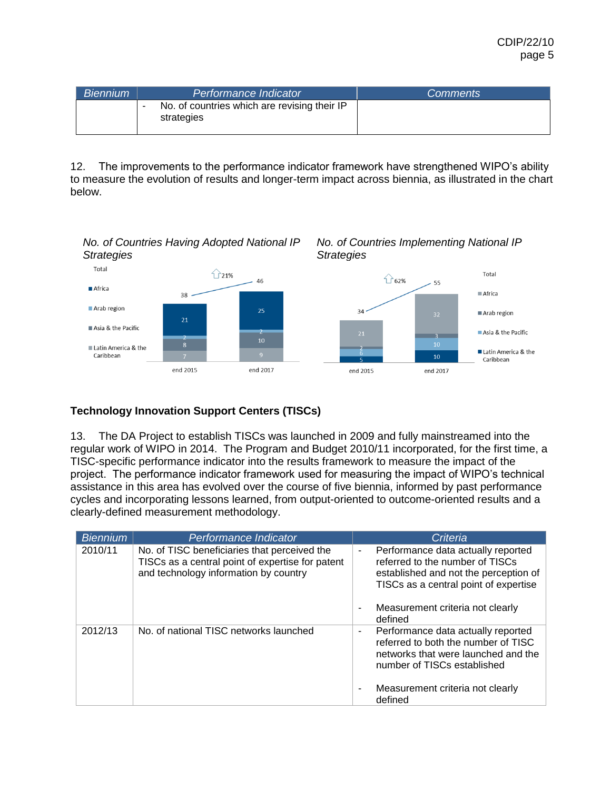| Biennium | Performance Indicator                                      | <b>Comments</b> |
|----------|------------------------------------------------------------|-----------------|
|          | No. of countries which are revising their IP<br>strategies |                 |

12. The improvements to the performance indicator framework have strengthened WIPO's ability to measure the evolution of results and longer-term impact across biennia, as illustrated in the chart below.



## **Technology Innovation Support Centers (TISCs)**

13. The DA Project to establish TISCs was launched in 2009 and fully mainstreamed into the regular work of WIPO in 2014. The Program and Budget 2010/11 incorporated, for the first time, a TISC-specific performance indicator into the results framework to measure the impact of the project. The performance indicator framework used for measuring the impact of WIPO's technical assistance in this area has evolved over the course of five biennia, informed by past performance cycles and incorporating lessons learned, from output-oriented to outcome-oriented results and a clearly-defined measurement methodology.

| <b>Biennium</b> | Performance Indicator                                                                                                                     | Criteria                                                                                                                                                                                                         |
|-----------------|-------------------------------------------------------------------------------------------------------------------------------------------|------------------------------------------------------------------------------------------------------------------------------------------------------------------------------------------------------------------|
| 2010/11         | No. of TISC beneficiaries that perceived the<br>TISCs as a central point of expertise for patent<br>and technology information by country | Performance data actually reported<br>۰<br>referred to the number of TISCs<br>established and not the perception of<br>TISCs as a central point of expertise<br>Measurement criteria not clearly<br>۰<br>defined |
| 2012/13         | No. of national TISC networks launched                                                                                                    | Performance data actually reported<br>٠<br>referred to both the number of TISC<br>networks that were launched and the<br>number of TISCs established<br>Measurement criteria not clearly<br>۰<br>defined         |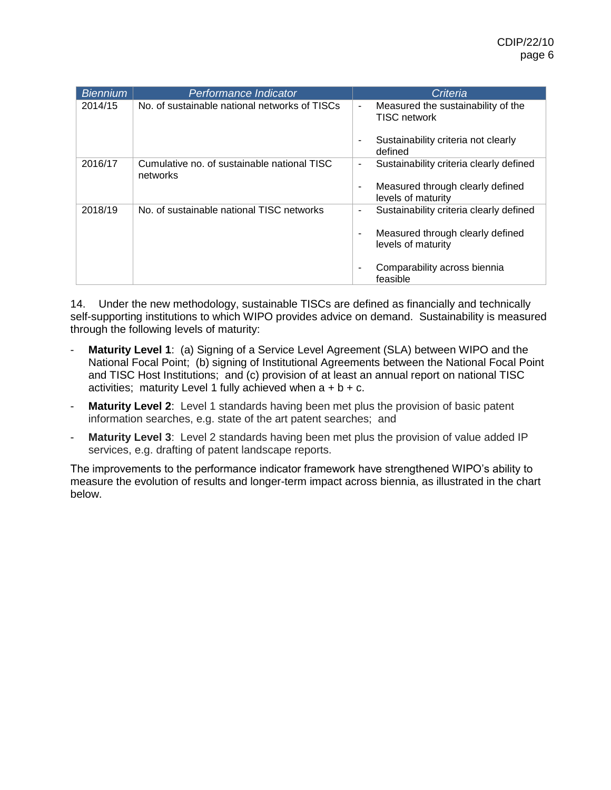| <b>Biennium</b> | Performance Indicator                                   | Criteria                                                                                                                                                                            |
|-----------------|---------------------------------------------------------|-------------------------------------------------------------------------------------------------------------------------------------------------------------------------------------|
| 2014/15         | No. of sustainable national networks of TISCs           | Measured the sustainability of the<br>$\overline{\phantom{a}}$<br><b>TISC network</b><br>Sustainability criteria not clearly<br>٠<br>defined                                        |
| 2016/17         | Cumulative no. of sustainable national TISC<br>networks | Sustainability criteria clearly defined<br>٠<br>Measured through clearly defined<br>٠<br>levels of maturity                                                                         |
| 2018/19         | No. of sustainable national TISC networks               | Sustainability criteria clearly defined<br>$\overline{\phantom{a}}$<br>Measured through clearly defined<br>٠<br>levels of maturity<br>Comparability across biennia<br>٠<br>feasible |

14. Under the new methodology, sustainable TISCs are defined as financially and technically self-supporting institutions to which WIPO provides advice on demand. Sustainability is measured through the following levels of maturity:

- **Maturity Level 1**: (a) Signing of a Service Level Agreement (SLA) between WIPO and the National Focal Point; (b) signing of Institutional Agreements between the National Focal Point and TISC Host Institutions; and (c) provision of at least an annual report on national TISC activities; maturity Level 1 fully achieved when  $a + b + c$ .
- **Maturity Level 2:** Level 1 standards having been met plus the provision of basic patent information searches, e.g. state of the art patent searches; and
- **Maturity Level 3**: Level 2 standards having been met plus the provision of value added IP services, e.g. drafting of patent landscape reports.

The improvements to the performance indicator framework have strengthened WIPO's ability to measure the evolution of results and longer-term impact across biennia, as illustrated in the chart below.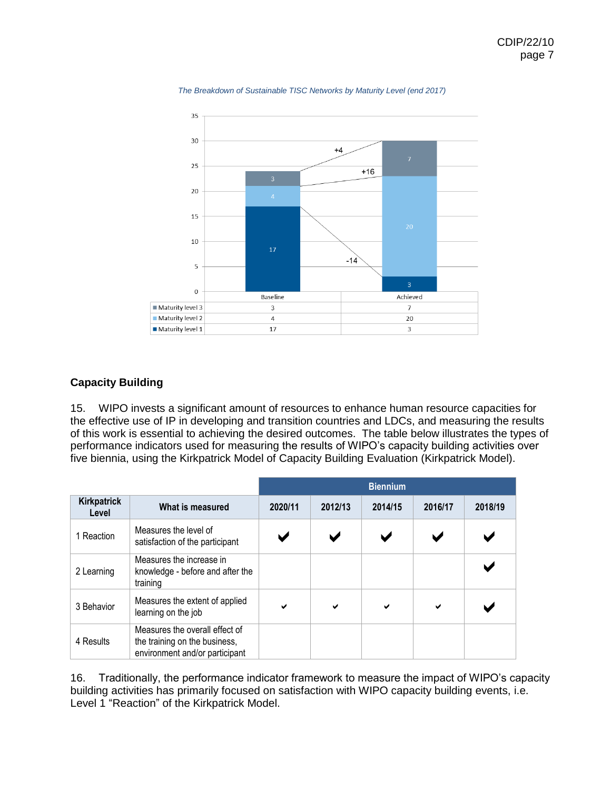



## **Capacity Building**

15. WIPO invests a significant amount of resources to enhance human resource capacities for the effective use of IP in developing and transition countries and LDCs, and measuring the results of this work is essential to achieving the desired outcomes. The table below illustrates the types of performance indicators used for measuring the results of WIPO's capacity building activities over five biennia, using the Kirkpatrick Model of Capacity Building Evaluation (Kirkpatrick Model).

|                      |                                                                                                   | <b>Biennium</b> |              |                       |         |         |
|----------------------|---------------------------------------------------------------------------------------------------|-----------------|--------------|-----------------------|---------|---------|
| Kirkpatrick<br>Level | What is measured                                                                                  | 2020/11         | 2012/13      | 2014/15               | 2016/17 | 2018/19 |
| 1 Reaction           | Measures the level of<br>satisfaction of the participant                                          |                 |              | $\blacktriangleright$ |         |         |
| 2 Learning           | Measures the increase in<br>knowledge - before and after the<br>training                          |                 |              |                       |         |         |
| 3 Behavior           | Measures the extent of applied<br>learning on the job                                             | ✔               | $\checkmark$ | ✔                     | ✔       |         |
| 4 Results            | Measures the overall effect of<br>the training on the business,<br>environment and/or participant |                 |              |                       |         |         |

16. Traditionally, the performance indicator framework to measure the impact of WIPO's capacity building activities has primarily focused on satisfaction with WIPO capacity building events, i.e. Level 1 "Reaction" of the Kirkpatrick Model.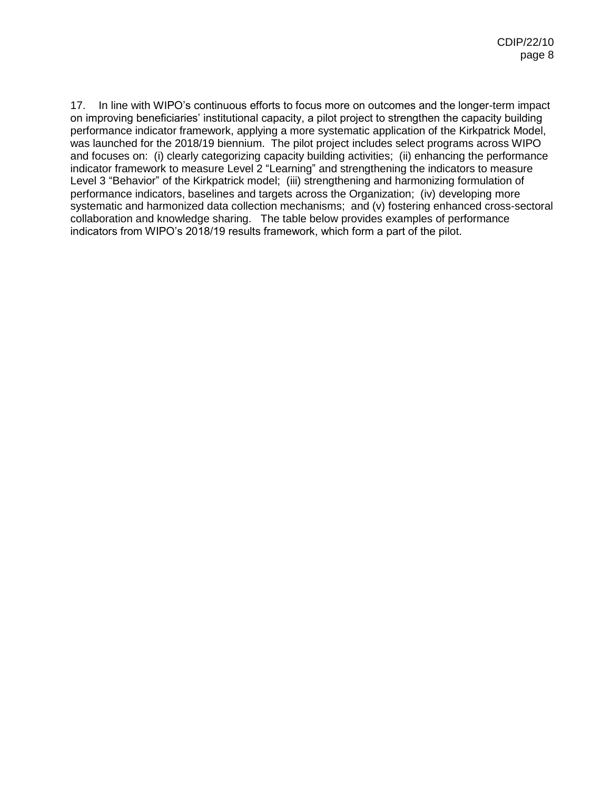17. In line with WIPO's continuous efforts to focus more on outcomes and the longer-term impact on improving beneficiaries' institutional capacity, a pilot project to strengthen the capacity building performance indicator framework, applying a more systematic application of the Kirkpatrick Model, was launched for the 2018/19 biennium. The pilot project includes select programs across WIPO and focuses on: (i) clearly categorizing capacity building activities; (ii) enhancing the performance indicator framework to measure Level 2 "Learning" and strengthening the indicators to measure Level 3 "Behavior" of the Kirkpatrick model; (iii) strengthening and harmonizing formulation of performance indicators, baselines and targets across the Organization; (iv) developing more systematic and harmonized data collection mechanisms; and (v) fostering enhanced cross-sectoral collaboration and knowledge sharing. The table below provides examples of performance indicators from WIPO's 2018/19 results framework, which form a part of the pilot.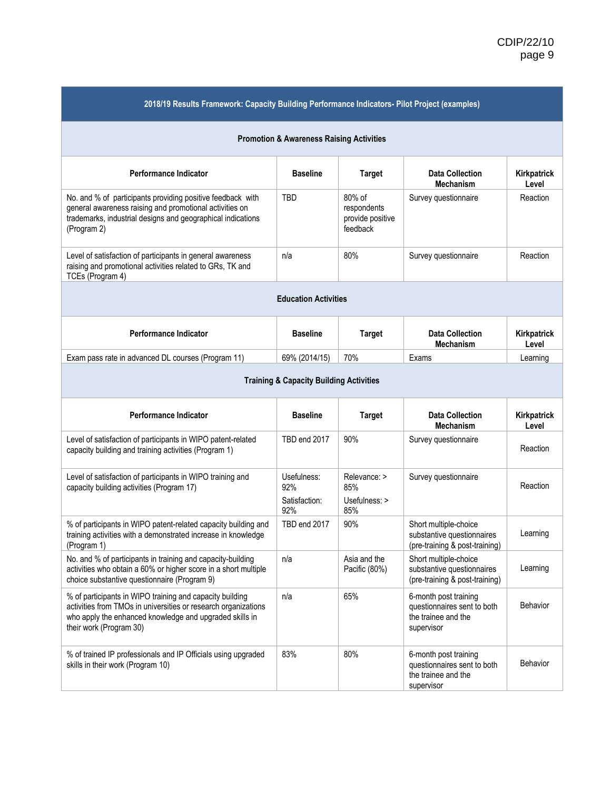| 2018/19 Results Framework: Capacity Building Performance Indicators- Pilot Project (examples)                                                                                                                    |                                            |                                                       |                                                                                           |                      |  |
|------------------------------------------------------------------------------------------------------------------------------------------------------------------------------------------------------------------|--------------------------------------------|-------------------------------------------------------|-------------------------------------------------------------------------------------------|----------------------|--|
| <b>Promotion &amp; Awareness Raising Activities</b>                                                                                                                                                              |                                            |                                                       |                                                                                           |                      |  |
| Performance Indicator                                                                                                                                                                                            | <b>Baseline</b>                            | <b>Target</b>                                         | <b>Data Collection</b><br><b>Mechanism</b>                                                | Kirkpatrick<br>Level |  |
| No. and % of participants providing positive feedback with<br>general awareness raising and promotional activities on<br>trademarks, industrial designs and geographical indications<br>(Program 2)              | TBD                                        | 80% of<br>respondents<br>provide positive<br>feedback | Survey questionnaire                                                                      | Reaction             |  |
| Level of satisfaction of participants in general awareness<br>raising and promotional activities related to GRs, TK and<br>TCEs (Program 4)                                                                      | n/a                                        | 80%                                                   | Survey questionnaire                                                                      | Reaction             |  |
|                                                                                                                                                                                                                  | <b>Education Activities</b>                |                                                       |                                                                                           |                      |  |
| Performance Indicator                                                                                                                                                                                            | <b>Baseline</b>                            | <b>Target</b>                                         | <b>Data Collection</b><br><b>Mechanism</b>                                                | Kirkpatrick<br>Level |  |
| Exam pass rate in advanced DL courses (Program 11)                                                                                                                                                               | 69% (2014/15)                              | 70%                                                   | Exams                                                                                     | Learning             |  |
| <b>Training &amp; Capacity Building Activities</b>                                                                                                                                                               |                                            |                                                       |                                                                                           |                      |  |
| Performance Indicator                                                                                                                                                                                            | <b>Baseline</b>                            | <b>Target</b>                                         | <b>Data Collection</b><br><b>Mechanism</b>                                                | Kirkpatrick<br>Level |  |
| Level of satisfaction of participants in WIPO patent-related<br>capacity building and training activities (Program 1)                                                                                            | TBD end 2017                               | 90%                                                   | Survey questionnaire                                                                      | Reaction             |  |
| Level of satisfaction of participants in WIPO training and<br>capacity building activities (Program 17)                                                                                                          | Usefulness:<br>92%<br>Satisfaction:<br>92% | Relevance: ><br>85%<br>Usefulness: ><br>85%           | Survey questionnaire                                                                      | Reaction             |  |
| % of participants in WIPO patent-related capacity building and<br>training activities with a demonstrated increase in knowledge<br>(Program 1)                                                                   | TBD end 2017                               | 90%                                                   | Short multiple-choice<br>substantive questionnaires<br>(pre-training & post-training)     | Learning             |  |
| No. and % of participants in training and capacity-building<br>activities who obtain a 60% or higher score in a short multiple<br>choice substantive questionnaire (Program 9)                                   | n/a                                        | Asia and the<br>Pacific (80%)                         | Short multiple-choice<br>substantive questionnaires<br>(pre-training & post-training)     | Learning             |  |
| % of participants in WIPO training and capacity building<br>activities from TMOs in universities or research organizations<br>who apply the enhanced knowledge and upgraded skills in<br>their work (Program 30) | n/a                                        | 65%                                                   | 6-month post training<br>questionnaires sent to both<br>the trainee and the<br>supervisor | <b>Behavior</b>      |  |
| % of trained IP professionals and IP Officials using upgraded<br>skills in their work (Program 10)                                                                                                               | 83%                                        | 80%                                                   | 6-month post training<br>questionnaires sent to both<br>the trainee and the<br>supervisor | <b>Behavior</b>      |  |